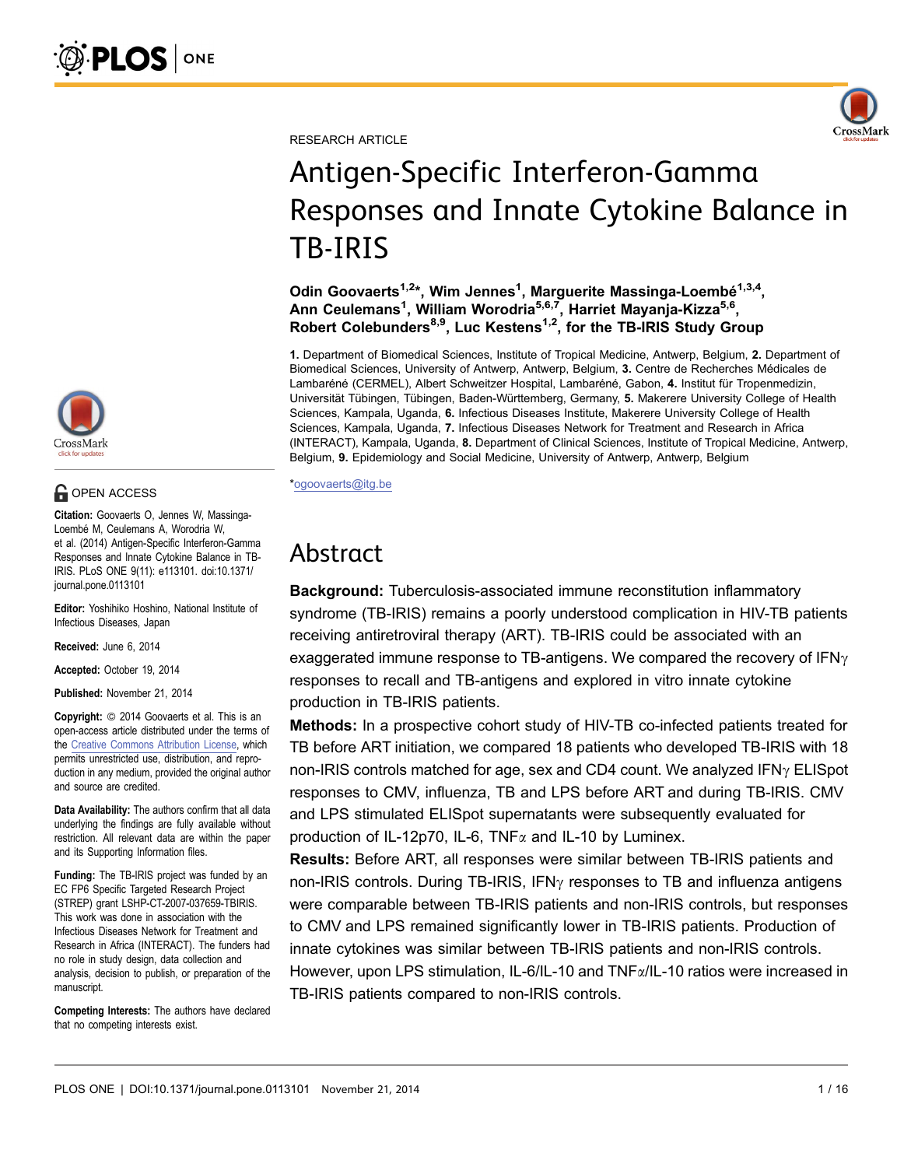

RESEARCH ARTICLE

# Antigen-Specific Interferon-Gamma Responses and Innate Cytokine Balance in TB-IRIS

Odin Goovaerts<sup>1,2\*</sup>, Wim Jennes<sup>1</sup>, Marguerite Massinga-Loembé<sup>1,3,4</sup>, Ann Ceulemans<sup>1</sup>, William Worodria<sup>5,6,7</sup>, Harriet Mayanja-Kizza<sup>5,6</sup>, Robert Colebunders<sup>8,9</sup>, Luc Kestens<sup>1,2</sup>, for the TB-IRIS Study Group

1. Department of Biomedical Sciences, Institute of Tropical Medicine, Antwerp, Belgium, 2. Department of Biomedical Sciences, University of Antwerp, Antwerp, Belgium, 3. Centre de Recherches Médicales de Lambaréné (CERMEL), Albert Schweitzer Hospital, Lambaréné, Gabon, 4. Institut für Tropenmedizin, Universität Tübingen, Tübingen, Baden-Württemberg, Germany, 5. Makerere University College of Health Sciences, Kampala, Uganda, 6. Infectious Diseases Institute, Makerere University College of Health Sciences, Kampala, Uganda, 7. Infectious Diseases Network for Treatment and Research in Africa (INTERACT), Kampala, Uganda, 8. Department of Clinical Sciences, Institute of Tropical Medicine, Antwerp, Belgium, 9. Epidemiology and Social Medicine, University of Antwerp, Antwerp, Belgium

\*ogoovaerts@itg.be

# Abstract

Background: Tuberculosis-associated immune reconstitution inflammatory syndrome (TB-IRIS) remains a poorly understood complication in HIV-TB patients receiving antiretroviral therapy (ART). TB-IRIS could be associated with an exaggerated immune response to TB-antigens. We compared the recovery of  $IFN<sub>Y</sub>$ responses to recall and TB-antigens and explored in vitro innate cytokine production in TB-IRIS patients.

Methods: In a prospective cohort study of HIV-TB co-infected patients treated for TB before ART initiation, we compared 18 patients who developed TB-IRIS with 18 non-IRIS controls matched for age, sex and CD4 count. We analyzed IFN $\gamma$  ELISpot responses to CMV, influenza, TB and LPS before ART and during TB-IRIS. CMV and LPS stimulated ELISpot supernatants were subsequently evaluated for production of IL-12p70, IL-6, TNF $\alpha$  and IL-10 by Luminex.

Results: Before ART, all responses were similar between TB-IRIS patients and non-IRIS controls. During TB-IRIS, IFN $\gamma$  responses to TB and influenza antigens were comparable between TB-IRIS patients and non-IRIS controls, but responses to CMV and LPS remained significantly lower in TB-IRIS patients. Production of innate cytokines was similar between TB-IRIS patients and non-IRIS controls. However, upon LPS stimulation, IL-6/IL-10 and TNF $\alpha$ /IL-10 ratios were increased in TB-IRIS patients compared to non-IRIS controls.



# **G** OPEN ACCESS

Citation: Goovaerts O, Jennes W, Massinga-Loembé M, Ceulemans A, Worodria W, et al. (2014) Antigen-Specific Interferon-Gamma Responses and Innate Cytokine Balance in TB-IRIS. PLoS ONE 9(11): e113101. doi:10.1371/ journal.pone.0113101

Editor: Yoshihiko Hoshino, National Institute of Infectious Diseases, Japan

Received: June 6, 2014

Accepted: October 19, 2014

Published: November 21, 2014

**Copyright:** © 2014 Goovaerts et al. This is an open-access article distributed under the terms of the [Creative Commons Attribution License](http://creativecommons.org/licenses/by/4.0/), which permits unrestricted use, distribution, and reproduction in any medium, provided the original author and source are credited.

Data Availability: The authors confirm that all data underlying the findings are fully available without restriction. All relevant data are within the paper and its Supporting Information files.

Funding: The TB-IRIS project was funded by an EC FP6 Specific Targeted Research Project (STREP) grant LSHP-CT-2007-037659-TBIRIS. This work was done in association with the Infectious Diseases Network for Treatment and Research in Africa (INTERACT). The funders had no role in study design, data collection and analysis, decision to publish, or preparation of the manuscript.

Competing Interests: The authors have declared that no competing interests exist.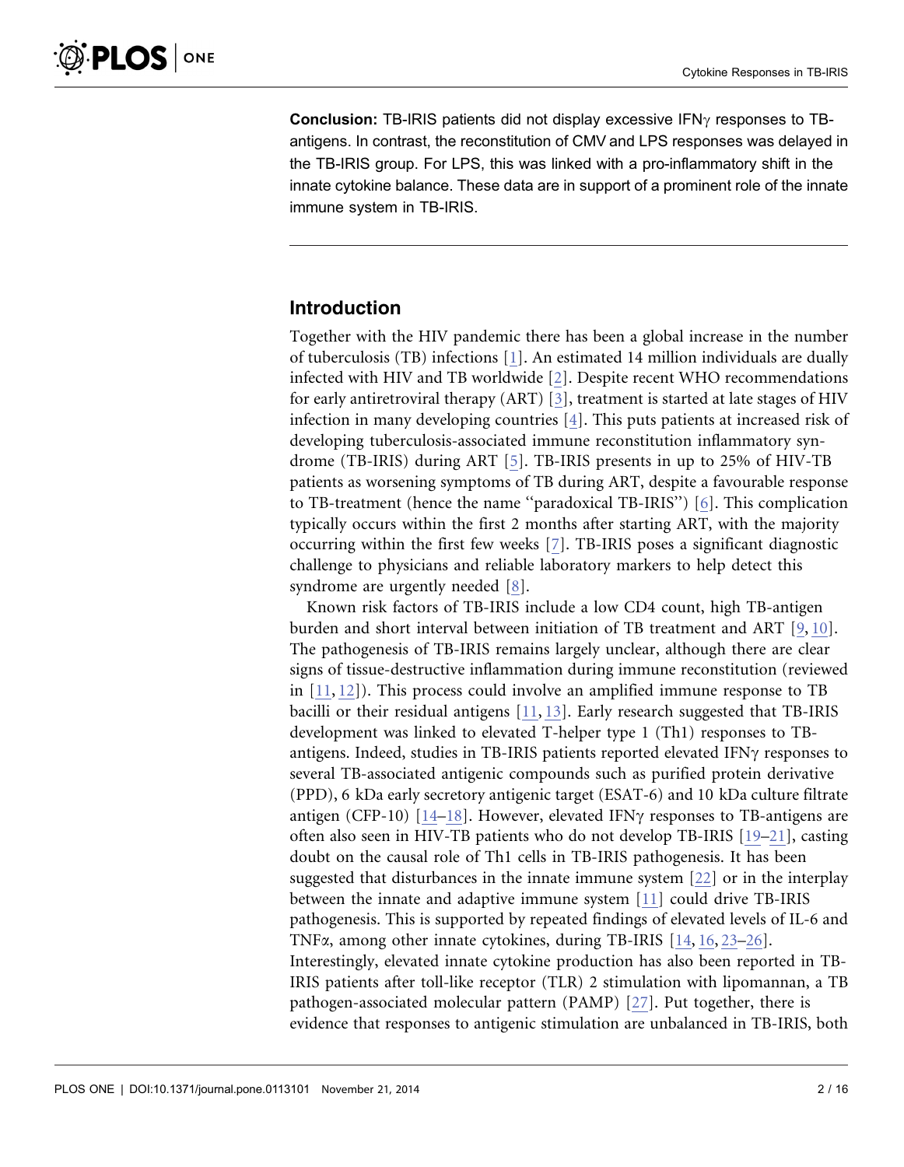**Conclusion:** TB-IRIS patients did not display excessive IFN $\gamma$  responses to TBantigens. In contrast, the reconstitution of CMV and LPS responses was delayed in the TB-IRIS group. For LPS, this was linked with a pro-inflammatory shift in the innate cytokine balance. These data are in support of a prominent role of the innate immune system in TB-IRIS.

# Introduction

Together with the HIV pandemic there has been a global increase in the number of tuberculosis (TB) infections [\[1\]. An estimated 14 million individuals are dually](#page-12-0) [infected with HIV and TB worldwide \[2\]. Despite recent WHO recommendations](#page-12-0) [for early antiretroviral therapy \(ART\) \[3\], treatment is started at late stages of HIV](#page-12-0) [infection in many developing countries \[4\]. This puts patients at increased risk of](#page-12-0) [developing tuberculosis-associated immune reconstitution inflammatory syn](#page-12-0)[drome \(TB-IRIS\) during ART \[5\]. TB-IRIS presents in up to 25% of HIV-TB](#page-12-0) [patients as worsening symptoms of TB during ART, despite a favourable response](#page-12-0) [to TB-treatment \(hence the name ''paradoxical TB-IRIS''\) \[6\]. This complication](#page-12-0) [typically occurs within the first 2 months after starting ART, with the majority](#page-12-0) [occurring within the first few weeks \[7\]. TB-IRIS poses a significant diagnostic](#page-12-0) [challenge to physicians and reliable laboratory markers to help detect this](#page-12-0) [syndrome are urgently needed \[8\].](#page-13-0)

Known risk factors of TB-IRIS include a low CD4 count, high TB-antigen burden and short interval between initiation of TB treatment and ART [\[9,](#page-13-0) [10\].](#page-13-0) [The pathogenesis of TB-IRIS remains largely unclear, although there are clear](#page-13-0) [signs of tissue-destructive inflammation during immune reconstitution \(reviewed](#page-13-0) [in \[11,](#page-13-0) [12\]\). This process could involve an amplified immune response to TB](#page-13-0) [bacilli or their residual antigens \[11,](#page-13-0) [13\]. Early research suggested that TB-IRIS](#page-13-0) [development was linked to elevated T-helper type 1 \(Th1\) responses to TB](#page-13-0)[antigens. Indeed, studies in TB-IRIS patients reported elevated IFN](#page-13-0) $\gamma$  responses to [several TB-associated antigenic compounds such as purified protein derivative](#page-13-0) [\(PPD\), 6 kDa early secretory antigenic target \(ESAT-6\) and 10 kDa culture filtrate](#page-13-0) [antigen \(CFP-10\) \[14–18](#page-13-0)]. However, elevated IFN $\gamma$  [responses to TB-antigens are](#page-13-0) [often also seen in HIV-TB patients who do not develop TB-IRIS \[19–21\], casting](#page-13-0) [doubt on the causal role of Th1 cells in TB-IRIS pathogenesis. It has been](#page-13-0) [suggested that disturbances in the innate immune system \[22\] or in the interplay](#page-13-0) [between the innate and adaptive immune system \[11\] could drive TB-IRIS](#page-13-0) [pathogenesis. This is supported by repeated findings of elevated levels of IL-6 and](#page-13-0) TNFa[, among other innate cytokines, during TB-IRIS \[14,](#page-13-0) [16,](#page-13-0) [23–26\].](#page-13-0) [Interestingly, elevated innate cytokine production has also been reported in TB-](#page-13-0)[IRIS patients after toll-like receptor \(TLR\) 2 stimulation with lipomannan, a TB](#page-13-0) [pathogen-associated molecular pattern \(PAMP\) \[27\]. Put together, there is](#page-14-0) [evidence that responses to antigenic stimulation are unbalanced in TB-IRIS, both](#page-14-0)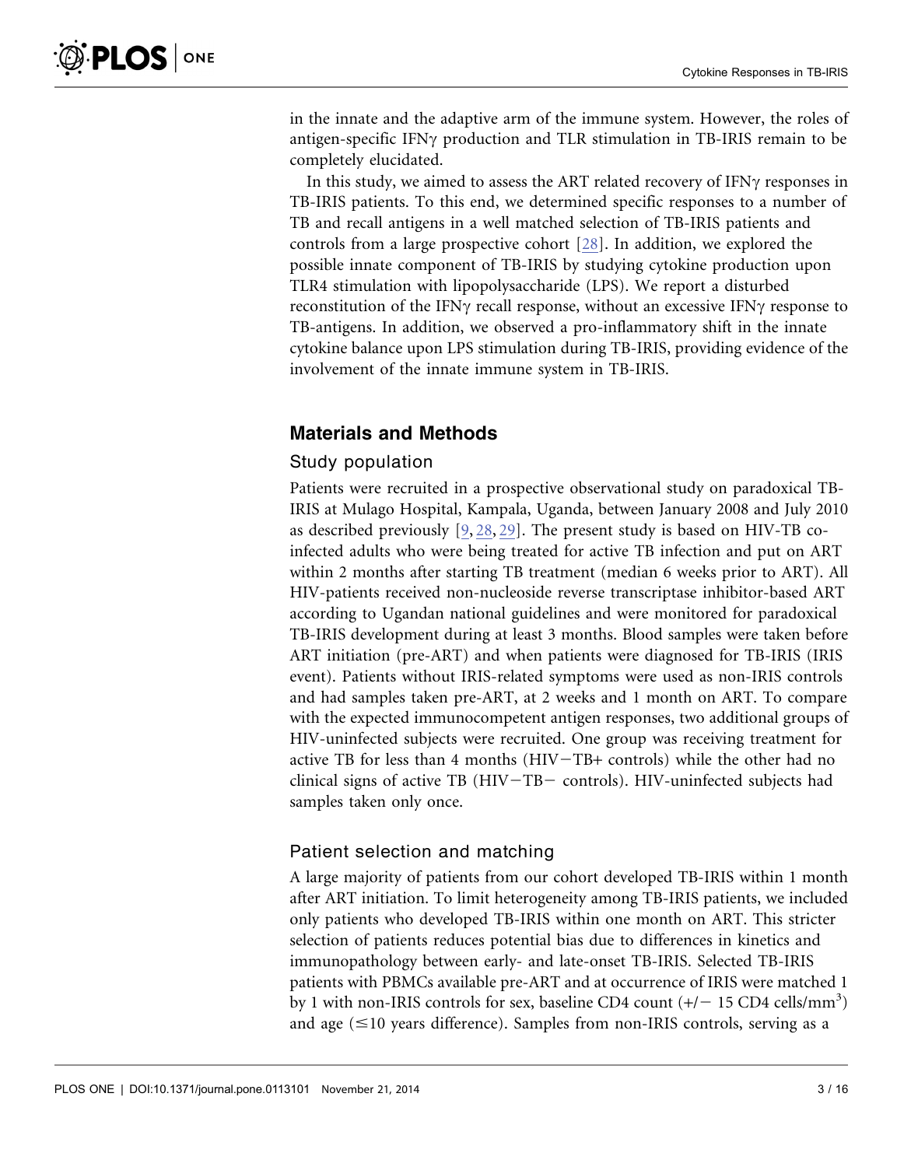[in the innate and the adaptive arm of the immune system. However, the roles of](#page-14-0) antigen-specific IFN $\gamma$  [production and TLR stimulation in TB-IRIS remain to be](#page-14-0) [completely elucidated.](#page-14-0)

In this study, we aimed to assess the ART related recovery of  $IFN\gamma$  responses in TB-IRIS patients. To this end, we determined specific responses to a number of TB and recall antigens in a well matched selection of TB-IRIS patients and controls from a large prospective cohort [\[28\]. In addition, we explored the](#page-14-0) [possible innate component of TB-IRIS by studying cytokine production upon](#page-14-0) [TLR4 stimulation with lipopolysaccharide \(LPS\). We report a disturbed](#page-14-0) reconstitution of the IFN $\gamma$  [recall response, without an excessive IFN](#page-14-0) $\gamma$  response to [TB-antigens. In addition, we observed a pro-inflammatory shift in the innate](#page-14-0) [cytokine balance upon LPS stimulation during TB-IRIS, providing evidence of the](#page-14-0) [involvement of the innate immune system in TB-IRIS.](#page-14-0)

# Materials and Methods

# Study population

Patients were recruited in a prospective observational study on paradoxical TB-IRIS at Mulago Hospital, Kampala, Uganda, between January 2008 and July 2010 as described previously [\[9,](#page-13-0) [28,](#page-13-0) [29\]. The present study is based on HIV-TB co](#page-13-0)[infected adults who were being treated for active TB infection and put on ART](#page-13-0) [within 2 months after starting TB treatment \(median 6 weeks prior to ART\). All](#page-13-0) [HIV-patients received non-nucleoside reverse transcriptase inhibitor-based ART](#page-13-0) [according to Ugandan national guidelines and were monitored for paradoxical](#page-13-0) [TB-IRIS development during at least 3 months. Blood samples were taken before](#page-13-0) [ART initiation \(pre-ART\) and when patients were diagnosed for TB-IRIS \(IRIS](#page-13-0) [event\). Patients without IRIS-related symptoms were used as non-IRIS controls](#page-13-0) [and had samples taken pre-ART, at 2 weeks and 1 month on ART. To compare](#page-13-0) [with the expected immunocompetent antigen responses, two additional groups of](#page-13-0) [HIV-uninfected subjects were recruited. One group was receiving treatment for](#page-13-0) active TB for less than 4 months  $(HIV-TB+$  controls) while the other had no clinical signs of active TB ( $HIV-TB-$  [controls\). HIV-uninfected subjects had](#page-13-0) [samples taken only once.](#page-13-0)

## Patient selection and matching

A large majority of patients from our cohort developed TB-IRIS within 1 month after ART initiation. To limit heterogeneity among TB-IRIS patients, we included only patients who developed TB-IRIS within one month on ART. This stricter selection of patients reduces potential bias due to differences in kinetics and immunopathology between early- and late-onset TB-IRIS. Selected TB-IRIS patients with PBMCs available pre-ART and at occurrence of IRIS were matched 1 by 1 with non-IRIS controls for sex, baseline CD4 count  $(+/- 15$  CD4 cells/mm<sup>3</sup>) and age  $(\leq 10$  years difference). Samples from non-IRIS controls, serving as a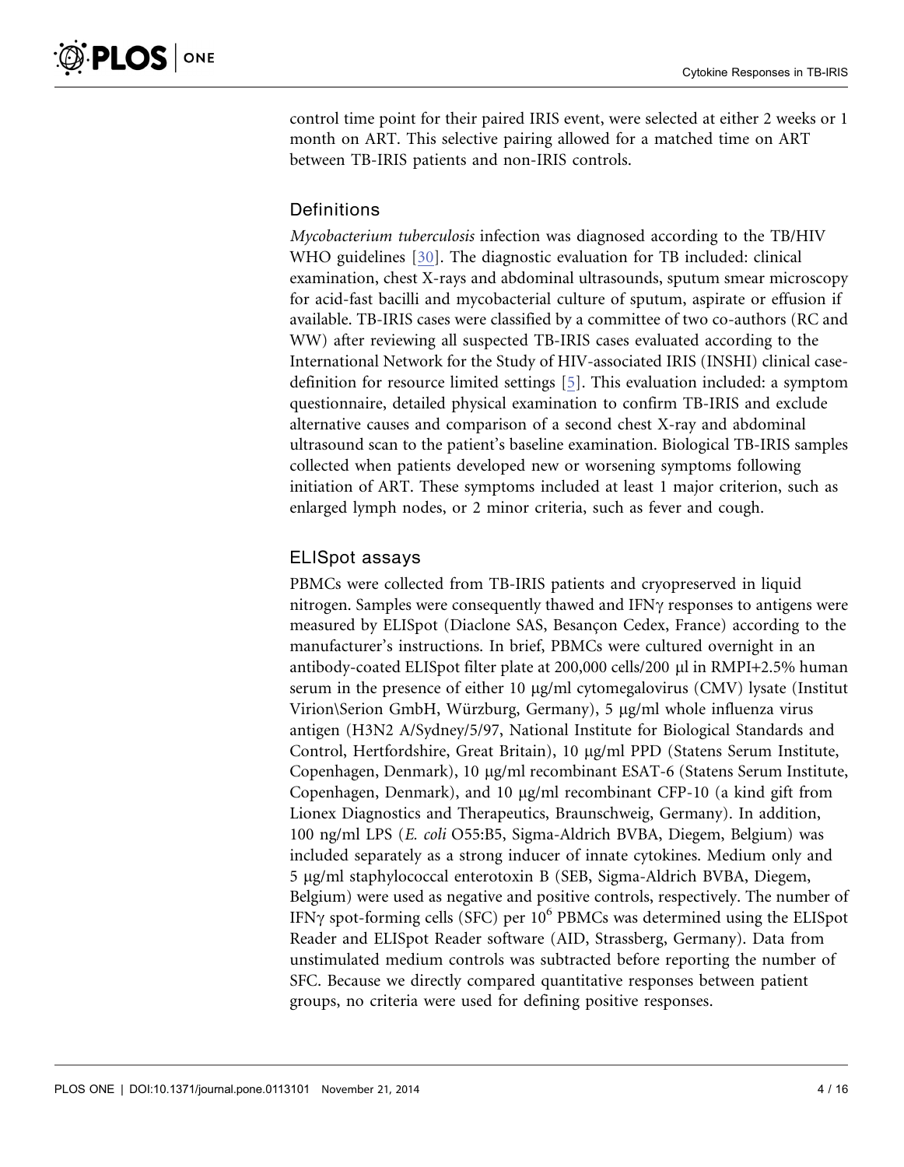control time point for their paired IRIS event, were selected at either 2 weeks or 1 month on ART. This selective pairing allowed for a matched time on ART between TB-IRIS patients and non-IRIS controls.

# Definitions

Mycobacterium tuberculosis infection was diagnosed according to the TB/HIV WHO guidelines [\[30\]. The diagnostic evaluation for TB included: clinical](#page-14-0) [examination, chest X-rays and abdominal ultrasounds, sputum smear microscopy](#page-14-0) [for acid-fast bacilli and mycobacterial culture of sputum, aspirate or effusion if](#page-14-0) [available. TB-IRIS cases were classified by a committee of two co-authors \(RC and](#page-14-0) [WW\) after reviewing all suspected TB-IRIS cases evaluated according to the](#page-14-0) [International Network for the Study of HIV-associated IRIS \(INSHI\) clinical case](#page-14-0)[definition for resource limited settings \[5\]. This evaluation included: a symptom](#page-12-0) [questionnaire, detailed physical examination to confirm TB-IRIS and exclude](#page-12-0) [alternative causes and comparison of a second chest X-ray and abdominal](#page-12-0) [ultrasound scan to the patient's baseline examination. Biological TB-IRIS samples](#page-12-0) [collected when patients developed new or worsening symptoms following](#page-12-0) [initiation of ART. These symptoms included at least 1 major criterion, such as](#page-12-0) [enlarged lymph nodes, or 2 minor criteria, such as fever and cough.](#page-12-0)

# ELISpot assays

PBMCs were collected from TB-IRIS patients and cryopreserved in liquid nitrogen. Samples were consequently thawed and  $IFN\gamma$  responses to antigens were measured by ELISpot (Diaclone SAS, Besançon Cedex, France) according to the manufacturer's instructions. In brief, PBMCs were cultured overnight in an antibody-coated ELISpot filter plate at 200,000 cells/200 µl in RMPI+2.5% human serum in the presence of either 10  $\mu$ g/ml cytomegalovirus (CMV) lysate (Institut Virion\Serion GmbH, Würzburg, Germany), 5 μg/ml whole influenza virus antigen (H3N2 A/Sydney/5/97, National Institute for Biological Standards and Control, Hertfordshire, Great Britain), 10 mg/ml PPD (Statens Serum Institute, Copenhagen, Denmark), 10 µg/ml recombinant ESAT-6 (Statens Serum Institute, Copenhagen, Denmark), and 10  $\mu$ g/ml recombinant CFP-10 (a kind gift from Lionex Diagnostics and Therapeutics, Braunschweig, Germany). In addition, 100 ng/ml LPS (E. coli O55:B5, Sigma-Aldrich BVBA, Diegem, Belgium) was included separately as a strong inducer of innate cytokines. Medium only and 5 mg/ml staphylococcal enterotoxin B (SEB, Sigma-Aldrich BVBA, Diegem, Belgium) were used as negative and positive controls, respectively. The number of IFN $\gamma$  spot-forming cells (SFC) per 10<sup>6</sup> PBMCs was determined using the ELISpot Reader and ELISpot Reader software (AID, Strassberg, Germany). Data from unstimulated medium controls was subtracted before reporting the number of SFC. Because we directly compared quantitative responses between patient groups, no criteria were used for defining positive responses.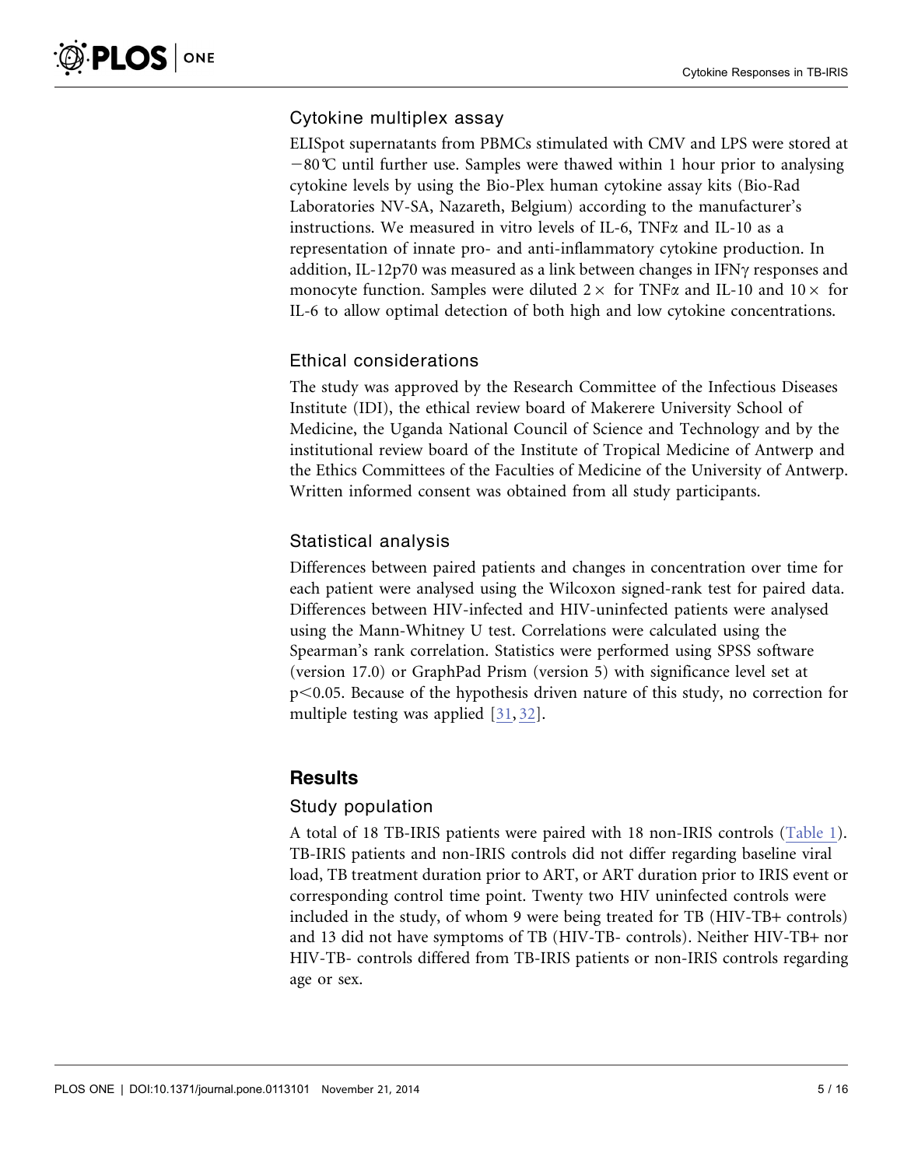## Cytokine multiplex assay

ELISpot supernatants from PBMCs stimulated with CMV and LPS were stored at  $-80^{\circ}$ C until further use. Samples were thawed within 1 hour prior to analysing cytokine levels by using the Bio-Plex human cytokine assay kits (Bio-Rad Laboratories NV-SA, Nazareth, Belgium) according to the manufacturer's instructions. We measured in vitro levels of IL-6, TNFa and IL-10 as a representation of innate pro- and anti-inflammatory cytokine production. In addition, IL-12p70 was measured as a link between changes in  $IFN\gamma$  responses and monocyte function. Samples were diluted  $2 \times$  for TNF $\alpha$  and IL-10 and  $10 \times$  for IL-6 to allow optimal detection of both high and low cytokine concentrations.

## Ethical considerations

The study was approved by the Research Committee of the Infectious Diseases Institute (IDI), the ethical review board of Makerere University School of Medicine, the Uganda National Council of Science and Technology and by the institutional review board of the Institute of Tropical Medicine of Antwerp and the Ethics Committees of the Faculties of Medicine of the University of Antwerp. Written informed consent was obtained from all study participants.

# Statistical analysis

Differences between paired patients and changes in concentration over time for each patient were analysed using the Wilcoxon signed-rank test for paired data. Differences between HIV-infected and HIV-uninfected patients were analysed using the Mann-Whitney U test. Correlations were calculated using the Spearman's rank correlation. Statistics were performed using SPSS software (version 17.0) or GraphPad Prism (version 5) with significance level set at p,0.05. Because of the hypothesis driven nature of this study, no correction for multiple testing was applied [\[31,](#page-14-0) [32\].](#page-14-0)

## **Results**

### Study population

A total of 18 TB-IRIS patients were paired with 18 non-IRIS controls [\(Table 1\).](#page-5-0) [TB-IRIS patients and non-IRIS controls did not differ regarding baseline viral](#page-5-0) [load, TB treatment duration prior to ART, or ART duration prior to IRIS event or](#page-5-0) [corresponding control time point. Twenty two HIV uninfected controls were](#page-5-0) [included in the study, of whom 9 were being treated for TB \(HIV-TB](#page-5-0)+ controls) [and 13 did not have symptoms of TB \(HIV-TB- controls\). Neither HIV-TB](#page-5-0)+ nor [HIV-TB- controls differed from TB-IRIS patients or non-IRIS controls regarding](#page-5-0) [age or sex.](#page-5-0)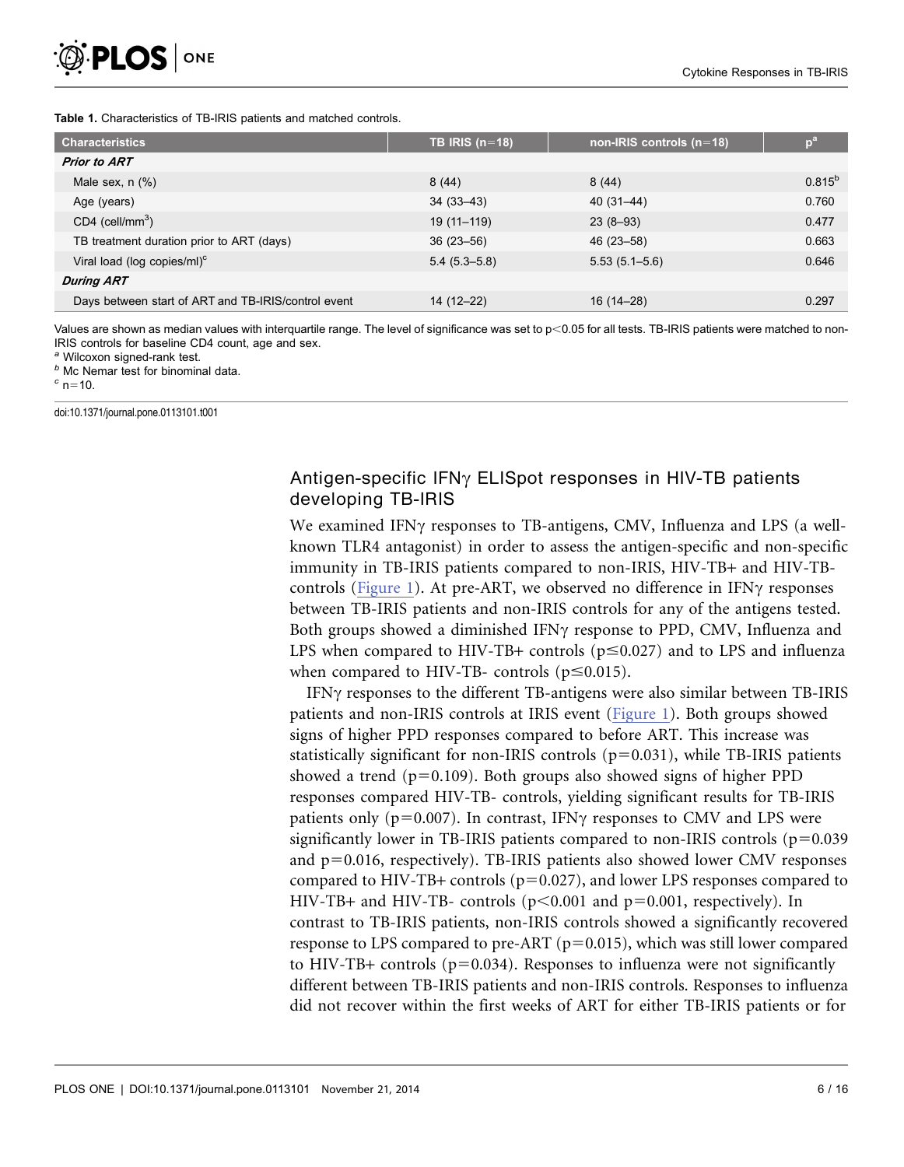#### <span id="page-5-0"></span>Table 1. Characteristics of TB-IRIS patients and matched controls.

| <b>Characteristics</b>                              | TB IRIS $(n=18)$ | non-IRIS controls $(n=18)$ |             |
|-----------------------------------------------------|------------------|----------------------------|-------------|
| <b>Prior to ART</b>                                 |                  |                            |             |
| Male sex, $n$ $(\%)$                                | 8(44)            | 8(44)                      | $0.815^{b}$ |
| Age (years)                                         | $34(33-43)$      | 40 (31–44)                 | 0.760       |
| $CD4$ (cell/mm <sup>3</sup> )                       | 19 (11-119)      | $23(8-93)$                 | 0.477       |
| TB treatment duration prior to ART (days)           | $36(23 - 56)$    | 46 (23 - 58)               | 0.663       |
| Viral load (log copies/ml) <sup>c</sup>             | $5.4(5.3 - 5.8)$ | $5.53(5.1 - 5.6)$          | 0.646       |
| <b>During ART</b>                                   |                  |                            |             |
| Days between start of ART and TB-IRIS/control event | 14 (12-22)       | 16 (14–28)                 | 0.297       |

Values are shown as median values with interquartile range. The level of significance was set to  $p<0.05$  for all tests. TB-IRIS patients were matched to non-IRIS controls for baseline CD4 count, age and sex.

<sup>a</sup> Wilcoxon signed-rank test.<br>
<sup>b</sup> Mc Nemar test for binominal data.<br>
<sup>c</sup> n=10.

doi:10.1371/journal.pone.0113101.t001

# Antigen-specific  $IFN\gamma$  ELISpot responses in HIV-TB patients developing TB-IRIS

We examined IFN $\gamma$  responses to TB-antigens, CMV, Influenza and LPS (a wellknown TLR4 antagonist) in order to assess the antigen-specific and non-specific immunity in TB-IRIS patients compared to non-IRIS, HIV-TB+ and HIV-TB-controls [\(Figure 1\)](#page-6-0). At pre-ART, we observed no difference in IFN $\gamma$  responses between TB-IRIS patients and non-IRIS controls for any of the antigens tested. Both groups showed a diminished IFN $\gamma$  response to PPD, CMV, Influenza and LPS when compared to HIV-TB+ controls ( $p \le 0.027$ ) and to LPS and influenza when compared to HIV-TB- controls ( $p \le 0.015$ ).

IFN<sub>Y</sub> responses to the different TB-antigens were also similar between TB-IRIS patients and non-IRIS controls at IRIS event [\(Figure 1\)](#page-6-0). Both groups showed signs of higher PPD responses compared to before ART. This increase was statistically significant for non-IRIS controls  $(p=0.031)$ , while TB-IRIS patients showed a trend  $(p=0.109)$ . Both groups also showed signs of higher PPD responses compared HIV-TB- controls, yielding significant results for TB-IRIS patients only ( $p=0.007$ ). In contrast, IFN $\gamma$  responses to CMV and LPS were significantly lower in TB-IRIS patients compared to non-IRIS controls ( $p=0.039$ ) and  $p=0.016$ , respectively). TB-IRIS patients also showed lower CMV responses compared to HIV-TB+ controls ( $p=0.027$ ), and lower LPS responses compared to HIV-TB+ and HIV-TB- controls ( $p<0.001$  and  $p=0.001$ , respectively). In contrast to TB-IRIS patients, non-IRIS controls showed a significantly recovered response to LPS compared to pre-ART ( $p=0.015$ ), which was still lower compared to HIV-TB+ controls ( $p=0.034$ ). Responses to influenza were not significantly different between TB-IRIS patients and non-IRIS controls. Responses to influenza did not recover within the first weeks of ART for either TB-IRIS patients or for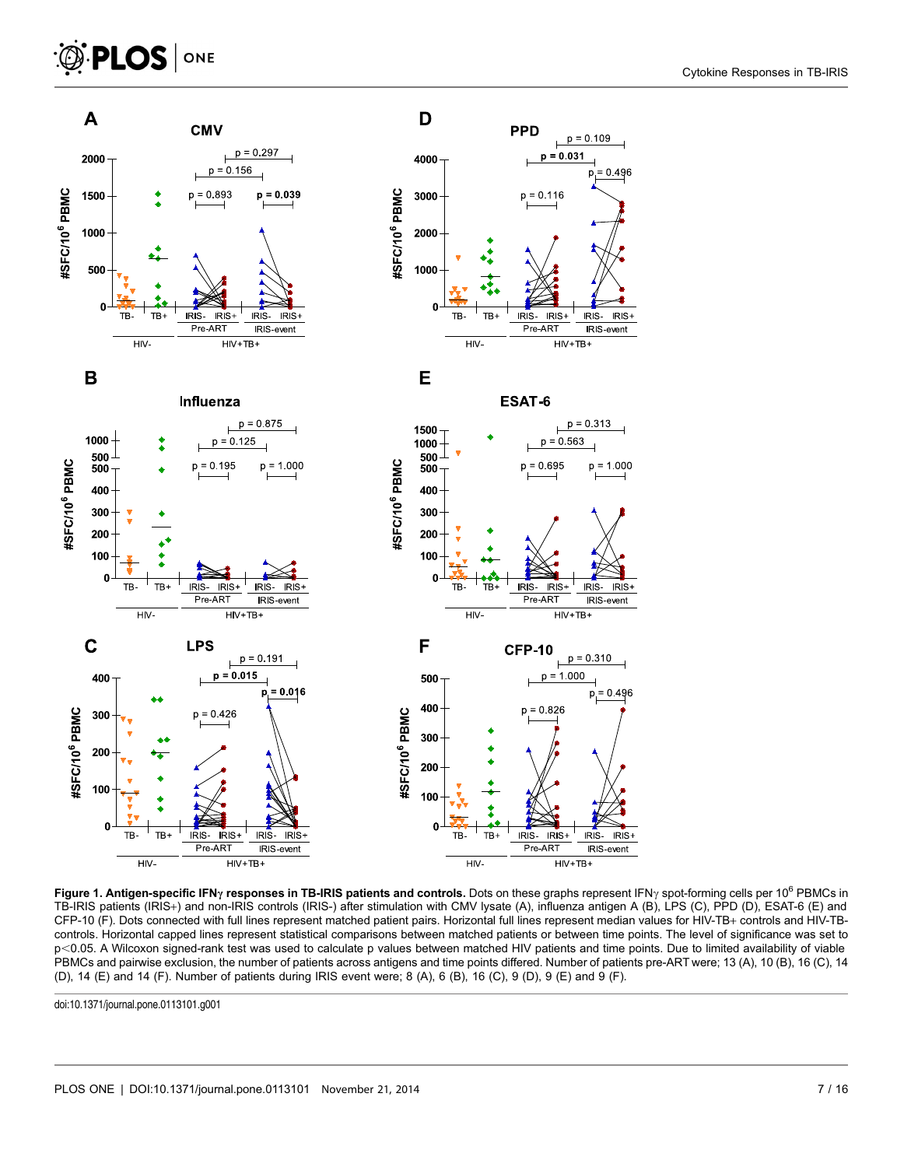# <span id="page-6-0"></span> $\bigcirc$  PLOS  $|$  one



Figure 1. Antigen-specific IFN<sub>Y</sub> responses in TB-IRIS patients and controls. Dots on these graphs represent IFN<sub>Y</sub> spot-forming cells per 10<sup>6</sup> PBMCs in TB-IRIS patients (IRIS+) and non-IRIS controls (IRIS-) after stimulation with CMV lysate (A), influenza antigen A (B), LPS (C), PPD (D), ESAT-6 (E) and CFP-10 (F). Dots connected with full lines represent matched patient pairs. Horizontal full lines represent median values for HIV-TB+ controls and HIV-TBcontrols. Horizontal capped lines represent statistical comparisons between matched patients or between time points. The level of significance was set to p<0.05. A Wilcoxon signed-rank test was used to calculate p values between matched HIV patients and time points. Due to limited availability of viable PBMCs and pairwise exclusion, the number of patients across antigens and time points differed. Number of patients pre-ART were; 13 (A), 10 (B), 16 (C), 14 (D), 14 (E) and 14 (F). Number of patients during IRIS event were; 8 (A), 6 (B), 16 (C), 9 (D), 9 (E) and 9 (F).

doi:10.1371/journal.pone.0113101.g001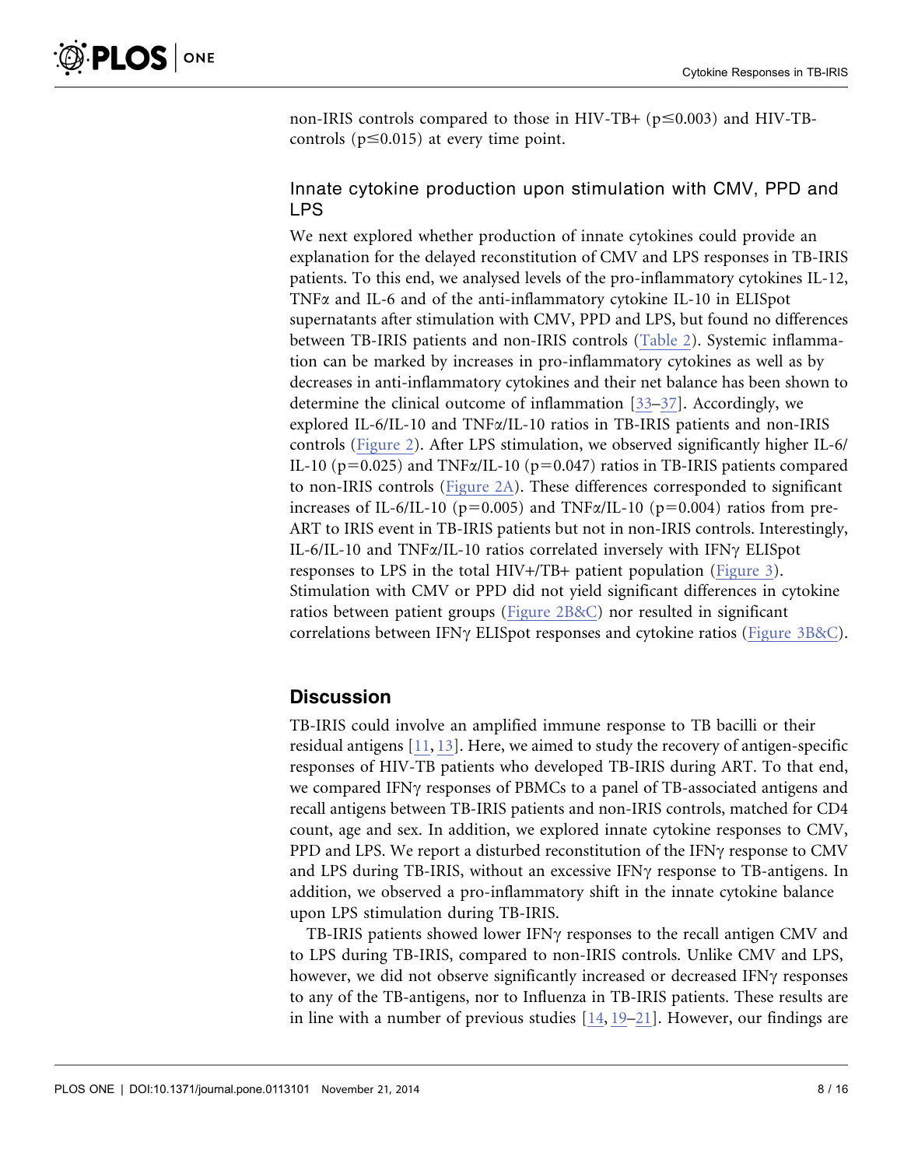non-IRIS controls compared to those in HIV-TB+  $(p \le 0.003)$  and HIV-TBcontrols ( $p \le 0.015$ ) at every time point.

# Innate cytokine production upon stimulation with CMV, PPD and LPS

We next explored whether production of innate cytokines could provide an explanation for the delayed reconstitution of CMV and LPS responses in TB-IRIS patients. To this end, we analysed levels of the pro-inflammatory cytokines IL-12, TNFa and IL-6 and of the anti-inflammatory cytokine IL-10 in ELISpot supernatants after stimulation with CMV, PPD and LPS, but found no differences between TB-IRIS patients and non-IRIS controls ([Table 2\). Systemic inflamma](#page-8-0)[tion can be marked by increases in pro-inflammatory cytokines as well as by](#page-8-0) [decreases in anti-inflammatory cytokines and their net balance has been shown to](#page-8-0) [determine the clinical outcome of inflammation \[33–37\]. Accordingly, we](#page-14-0) explored IL-6/IL-10 and TNFa[/IL-10 ratios in TB-IRIS patients and non-IRIS](#page-14-0) [controls \(](#page-14-0)[Figure 2](#page-9-0)[\). After LPS stimulation, we observed significantly higher IL-6/](#page-14-0) IL-10 ( $p=0.025$ ) and TNF $\alpha$ /IL-10 ( $p=0.047$ ) ratios in TB-IRIS patients compared [to non-IRIS controls \(](#page-14-0)[Figure 2A](#page-9-0)[\). These differences corresponded to significant](#page-14-0) increases of IL-6/IL-10 ( $p=0.005$ ) and TNF $\alpha$ /IL-10 ( $p=0.004$ ) ratios from pre-[ART to IRIS event in TB-IRIS patients but not in non-IRIS controls. Interestingly,](#page-14-0) IL-6/IL-10 and TNF $\alpha$ [/IL-10 ratios correlated inversely with IFN](#page-14-0) $\gamma$  ELISpot [responses to LPS in the total HIV](#page-14-0)+/TB+ patient population [\(Figure 3](#page-10-0)[\).](#page-14-0) [Stimulation with CMV or PPD did not yield significant differences in cytokine](#page-14-0) [ratios between patient groups \(](#page-14-0)[Figure 2B&C](#page-9-0)[\) nor resulted in significant](#page-14-0) correlations between IFN $\gamma$  [ELISpot responses and cytokine ratios \(](#page-14-0)[Figure 3B&C](#page-10-0)[\).](#page-14-0)

# **Discussion**

TB-IRIS could involve an amplified immune response to TB bacilli or their residual antigens [\[11,](#page-13-0) [13\]. Here, we aimed to study the recovery of antigen-specific](#page-13-0) [responses of HIV-TB patients who developed TB-IRIS during ART. To that end,](#page-13-0) we compared IFN $\gamma$  [responses of PBMCs to a panel of TB-associated antigens and](#page-13-0) [recall antigens between TB-IRIS patients and non-IRIS controls, matched for CD4](#page-13-0) [count, age and sex. In addition, we explored innate cytokine responses to CMV,](#page-13-0) [PPD and LPS. We report a disturbed reconstitution of the IFN](#page-13-0) $\gamma$  response to CMV [and LPS during TB-IRIS, without an excessive IFN](#page-13-0) $\gamma$  response to TB-antigens. In [addition, we observed a pro-inflammatory shift in the innate cytokine balance](#page-13-0) [upon LPS stimulation during TB-IRIS.](#page-13-0)

TB-IRIS patients showed lower IFN $\gamma$  responses to the recall antigen CMV and to LPS during TB-IRIS, compared to non-IRIS controls. Unlike CMV and LPS, however, we did not observe significantly increased or decreased IFN $\gamma$  responses to any of the TB-antigens, nor to Influenza in TB-IRIS patients. These results are in line with a number of previous studies [\[14,](#page-13-0) [19–21\]. However, our findings are](#page-13-0)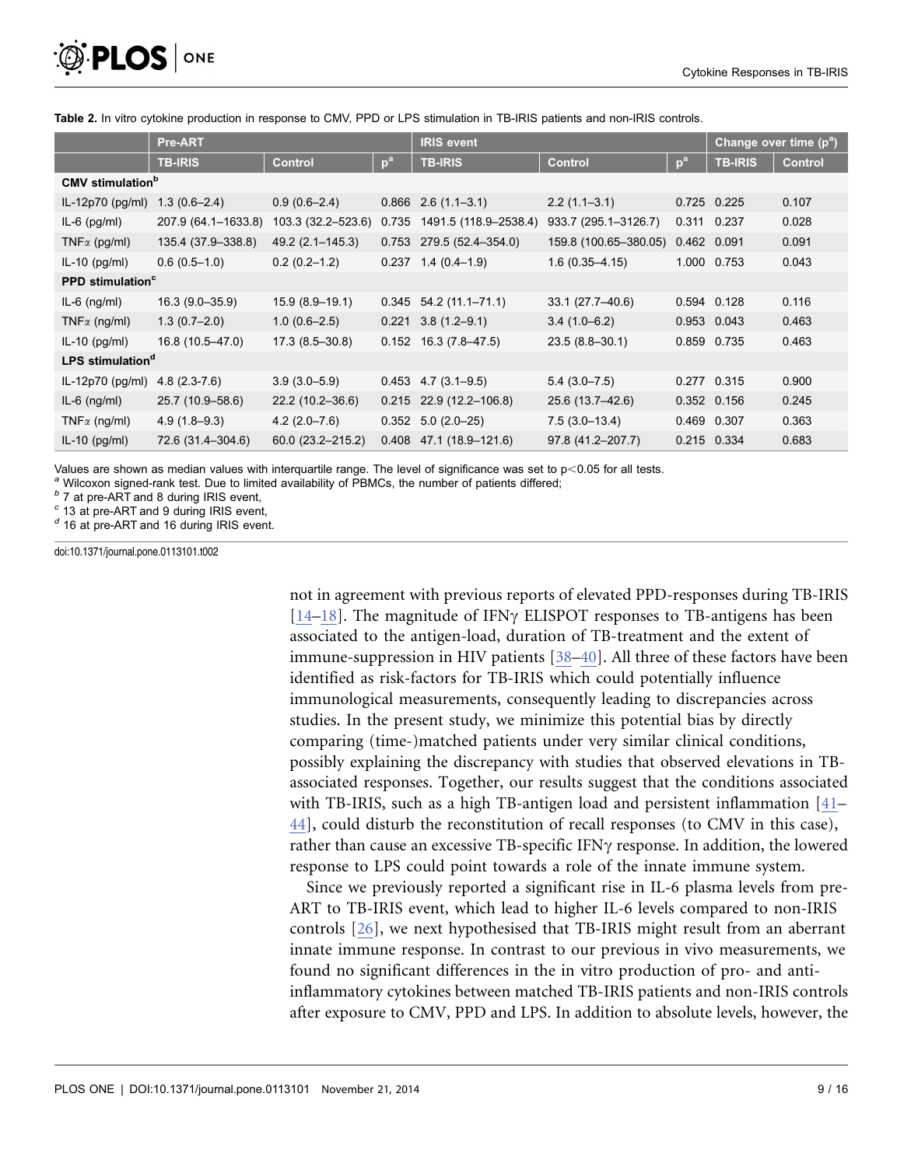<span id="page-8-0"></span>

|                                     | Pre-ART             |                      |                 | <b>IRIS event</b>         |                       |       | Change over time $(p^a)$ |                |  |
|-------------------------------------|---------------------|----------------------|-----------------|---------------------------|-----------------------|-------|--------------------------|----------------|--|
|                                     | <b>TB-IRIS</b>      | <b>Control</b>       | 10 <sup>3</sup> | <b>TB-IRIS</b>            | <b>Control</b>        | $p^a$ | <b>TB-IRIS</b>           | <b>Control</b> |  |
| <b>CMV</b> stimulation <sup>b</sup> |                     |                      |                 |                           |                       |       |                          |                |  |
| $IL-12p70$ (pg/ml)                  | $1.3(0.6 - 2.4)$    | $0.9(0.6-2.4)$       |                 | $0.866$ 2.6 $(1.1-3.1)$   | $2.2(1.1-3.1)$        |       | 0.725 0.225              | 0.107          |  |
| $IL-6$ (pg/ml)                      | 207.9 (64.1-1633.8) | 103.3 (32.2–523.6)   | 0.735           | 1491.5 (118.9-2538.4)     | 933.7 (295.1-3126.7)  |       | 0.311 0.237              | 0.028          |  |
| $TNF\alpha$ (pg/ml)                 | 135.4 (37.9-338.8)  | 49.2 (2.1–145.3)     | 0.753           | 279.5 (52.4-354.0)        | 159.8 (100.65-380.05) |       | 0.462 0.091              | 0.091          |  |
| $IL-10$ (pg/ml)                     | $0.6(0.5-1.0)$      | $0.2(0.2-1.2)$       |                 | $0.237$ 1.4 $(0.4-1.9)$   | $1.6(0.35 - 4.15)$    |       | 1.000 0.753              | 0.043          |  |
| <b>PPD</b> stimulation <sup>c</sup> |                     |                      |                 |                           |                       |       |                          |                |  |
| $IL-6$ (ng/ml)                      | $16.3(9.0-35.9)$    | $15.9(8.9-19.1)$     |                 | $0.345$ 54.2 (11.1-71.1)  | 33.1 (27.7-40.6)      |       | 0.594 0.128              | 0.116          |  |
| $TNF\alpha$ (ng/ml)                 | $1.3(0.7-2.0)$      | $1.0(0.6-2.5)$       |                 | $0.221$ 3.8 (1.2-9.1)     | $3.4(1.0-6.2)$        |       | 0.953 0.043              | 0.463          |  |
| $IL-10$ (pg/ml)                     | 16.8 (10.5-47.0)    | $17.3(8.5-30.8)$     | 0.152           | $16.3(7.8-47.5)$          | $23.5(8.8 - 30.1)$    |       | 0.859 0.735              | 0.463          |  |
| LPS stimulation <sup>d</sup>        |                     |                      |                 |                           |                       |       |                          |                |  |
| IL-12p70 (pg/ml)                    | $4.8(2.3-7.6)$      | $3.9(3.0 - 5.9)$     |                 | $0.453$ 4.7 (3.1-9.5)     | $5.4(3.0 - 7.5)$      |       | 0.277 0.315              | 0.900          |  |
| $IL-6$ (ng/ml)                      | 25.7 (10.9-58.6)    | $22.2(10.2 - 36.6)$  |                 | $0.215$ 22.9 (12.2-106.8) | 25.6 (13.7-42.6)      |       | 0.352 0.156              | 0.245          |  |
| $TNF\alpha$ (ng/ml)                 | $4.9(1.8-9.3)$      | $4.2(2.0 - 7.6)$     |                 | $0.352$ 5.0 (2.0-25)      | $7.5(3.0-13.4)$       |       | 0.469 0.307              | 0.363          |  |
| $IL-10$ (pg/ml)                     | 72.6 (31.4–304.6)   | $60.0(23.2 - 215.2)$ |                 | $0.408$ 47.1 (18.9-121.6) | 97.8 (41.2-207.7)     |       | 0.215 0.334              | 0.683          |  |

Table 2. In vitro cytokine production in response to CMV, PPD or LPS stimulation in TB-IRIS patients and non-IRIS controls.

Values are shown as median values with interquartile range. The level of significance was set to  $p<0.05$  for all tests.<br>
<sup>a</sup> Wilcoxon signed-rank test. Due to limited availability of PBMCs, the number of patients differ

 $d$  16 at pre-ART and 16 during IRIS event.

doi:10.1371/journal.pone.0113101.t002

[not in agreement with previous reports of elevated PPD-responses during TB-IRIS](#page-13-0) [\[14–18](#page-13-0)]. The magnitude of IFN $\gamma$  [ELISPOT responses to TB-antigens has been](#page-13-0) [associated to the antigen-load, duration of TB-treatment and the extent of](#page-13-0) [immune-suppression in HIV patients \[38–40\]. All three of these factors have been](#page-14-0) [identified as risk-factors for TB-IRIS which could potentially influence](#page-14-0) [immunological measurements, consequently leading to discrepancies across](#page-14-0) [studies. In the present study, we minimize this potential bias by directly](#page-14-0) [comparing \(time-\)matched patients under very similar clinical conditions,](#page-14-0) [possibly explaining the discrepancy with studies that observed elevations in TB](#page-14-0)[associated responses. Together, our results suggest that the conditions associated](#page-14-0) [with TB-IRIS, such as a high TB-antigen load and persistent inflammation \[41–](#page-14-0) [44\], could disturb the reconstitution of recall responses \(to CMV in this case\),](#page-14-0) [rather than cause an excessive TB-specific IFN](#page-14-0) $\gamma$  response. In addition, the lowered [response to LPS could point towards a role of the innate immune system.](#page-14-0)

Since we previously reported a significant rise in IL-6 plasma levels from pre-ART to TB-IRIS event, which lead to higher IL-6 levels compared to non-IRIS controls [\[26\], we next hypothesised that TB-IRIS might result from an aberrant](#page-14-0) [innate immune response. In contrast to our previous in vivo measurements, we](#page-14-0) [found no significant differences in the in vitro production of pro- and anti](#page-14-0)[inflammatory cytokines between matched TB-IRIS patients and non-IRIS controls](#page-14-0) [after exposure to CMV, PPD and LPS. In addition to absolute levels, however, the](#page-14-0)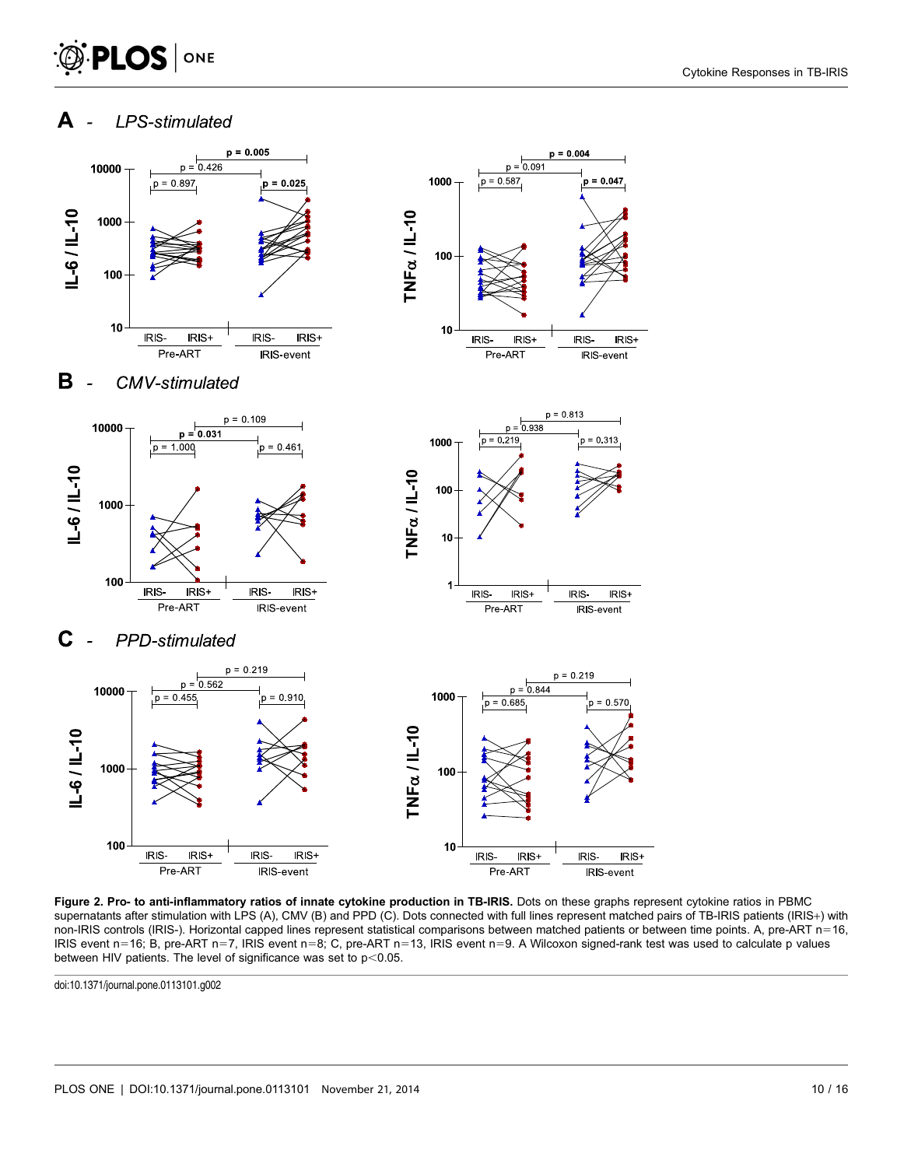#### Cytokine Responses in TB-IRIS

<span id="page-9-0"></span>



Figure 2. Pro- to anti-inflammatory ratios of innate cytokine production in TB-IRIS. Dots on these graphs represent cytokine ratios in PBMC supernatants after stimulation with LPS (A), CMV (B) and PPD (C). Dots connected with full lines represent matched pairs of TB-IRIS patients (IRIS+) with non-IRIS controls (IRIS-). Horizontal capped lines represent statistical comparisons between matched patients or between time points. A, pre-ART  $n=16$ , IRIS event n=16; B, pre-ART n=7, IRIS event n=8; C, pre-ART n=13, IRIS event n=9. A Wilcoxon signed-rank test was used to calculate p values between HIV patients. The level of significance was set to  $p<0.05$ .

doi:10.1371/journal.pone.0113101.g002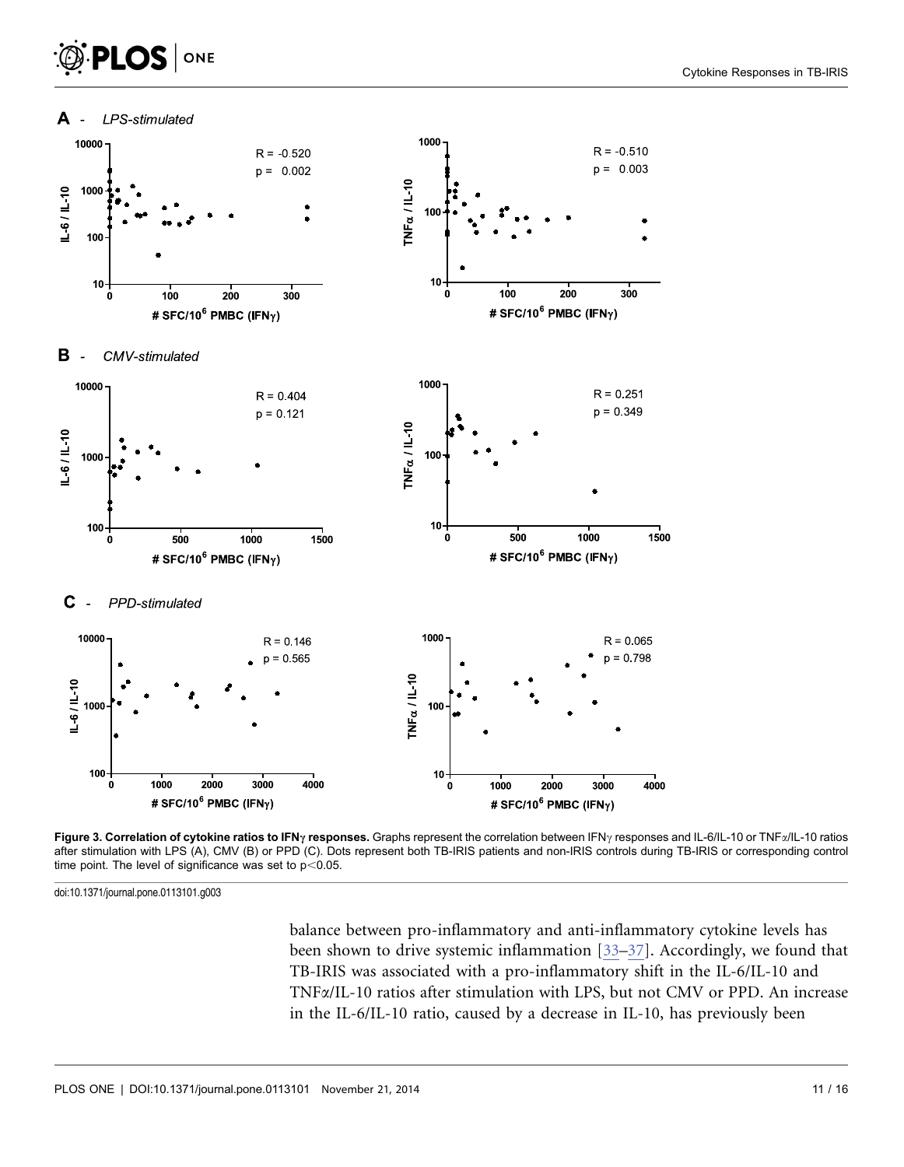# <span id="page-10-0"></span>PLOS ONE





doi:10.1371/journal.pone.0113101.g003

[balance between pro-inflammatory and anti-inflammatory cytokine levels has](#page-14-0) [been shown to drive systemic inflammation \[33–37\]. Accordingly, we found that](#page-14-0) [TB-IRIS was associated with a pro-inflammatory shift in the IL-6/IL-10 and](#page-14-0) TNFa[/IL-10 ratios after stimulation with LPS, but not CMV or PPD. An increase](#page-14-0) [in the IL-6/IL-10 ratio, caused by a decrease in IL-10, has previously been](#page-14-0)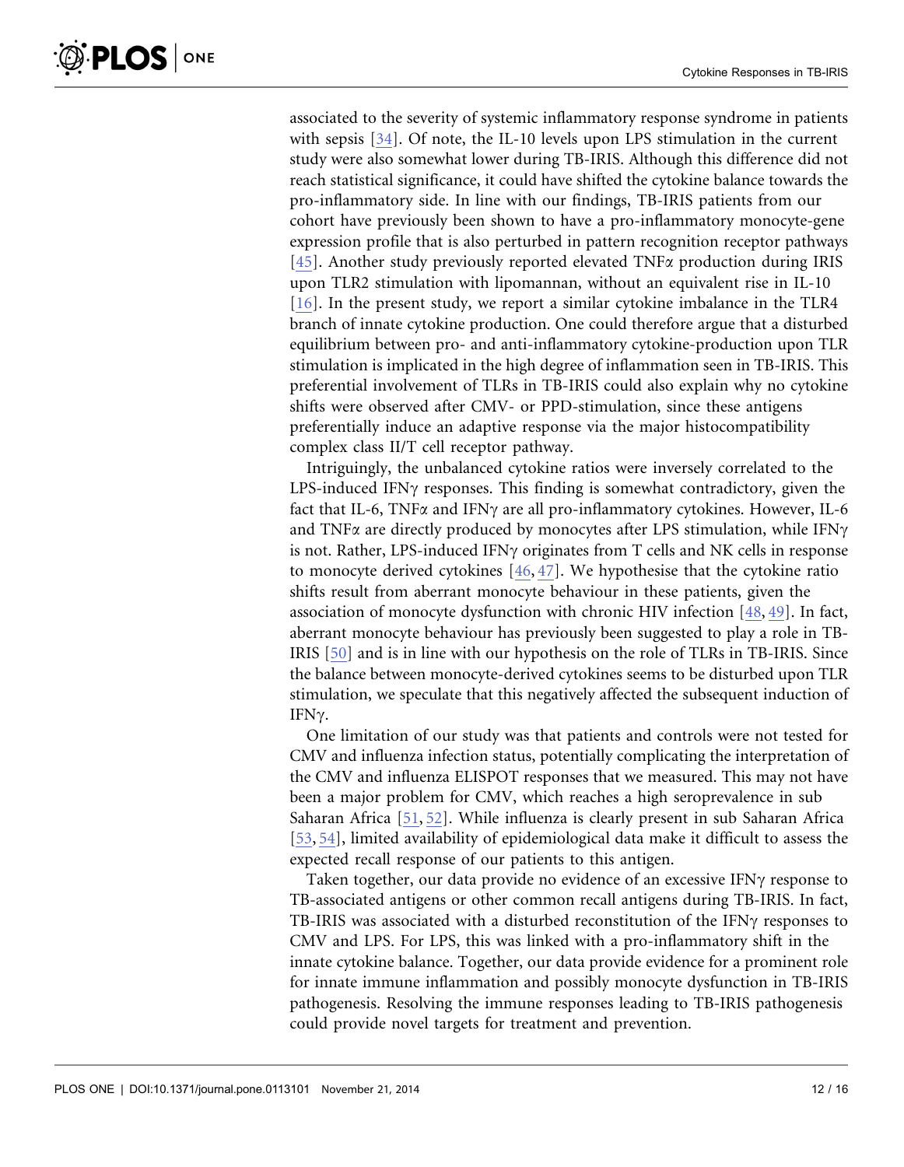[associated to the severity of systemic inflammatory response syndrome in patients](#page-14-0) [with sepsis \[34\]. Of note, the IL-10 levels upon LPS stimulation in the current](#page-14-0) [study were also somewhat lower during TB-IRIS. Although this difference did not](#page-14-0) [reach statistical significance, it could have shifted the cytokine balance towards the](#page-14-0) [pro-inflammatory side. In line with our findings, TB-IRIS patients from our](#page-14-0) [cohort have previously been shown to have a pro-inflammatory monocyte-gene](#page-14-0) [expression profile that is also perturbed in pattern recognition receptor pathways](#page-14-0) [\[45\]. Another study previously reported elevated TNF](#page-15-0) $\alpha$  production during IRIS [upon TLR2 stimulation with lipomannan, without an equivalent rise in IL-10](#page-15-0) [\[16\]. In the present study, we report a similar cytokine imbalance in the TLR4](#page-13-0) [branch of innate cytokine production. One could therefore argue that a disturbed](#page-13-0) [equilibrium between pro- and anti-inflammatory cytokine-production upon TLR](#page-13-0) [stimulation is implicated in the high degree of inflammation seen in TB-IRIS. This](#page-13-0) [preferential involvement of TLRs in TB-IRIS could also explain why no cytokine](#page-13-0) [shifts were observed after CMV- or PPD-stimulation, since these antigens](#page-13-0) [preferentially induce an adaptive response via the major histocompatibility](#page-13-0) [complex class II/T cell receptor pathway.](#page-13-0)

Intriguingly, the unbalanced cytokine ratios were inversely correlated to the LPS-induced IFN $\gamma$  responses. This finding is somewhat contradictory, given the fact that IL-6, TNF $\alpha$  and IFN $\gamma$  are all pro-inflammatory cytokines. However, IL-6 and TNF $\alpha$  are directly produced by monocytes after LPS stimulation, while IFN $\gamma$ is not. Rather, LPS-induced IFN $\gamma$  originates from T cells and NK cells in response to monocyte derived cytokines [\[46,](#page-15-0) [47\]. We hypothesise that the cytokine ratio](#page-15-0) [shifts result from aberrant monocyte behaviour in these patients, given the](#page-15-0) [association of monocyte dysfunction with chronic HIV infection \[48,](#page-15-0) [49\]. In fact,](#page-15-0) [aberrant monocyte behaviour has previously been suggested to play a role in TB-](#page-15-0)[IRIS \[50\] and is in line with our hypothesis on the role of TLRs in TB-IRIS. Since](#page-15-0) [the balance between monocyte-derived cytokines seems to be disturbed upon TLR](#page-15-0) [stimulation, we speculate that this negatively affected the subsequent induction of](#page-15-0) [IFN](#page-15-0)γ.

One limitation of our study was that patients and controls were not tested for CMV and influenza infection status, potentially complicating the interpretation of the CMV and influenza ELISPOT responses that we measured. This may not have been a major problem for CMV, which reaches a high seroprevalence in sub Saharan Africa [\[51,](#page-15-0) [52\]. While influenza is clearly present in sub Saharan Africa](#page-15-0) [\[53,](#page-15-0) [54\], limited availability of epidemiological data make it difficult to assess the](#page-15-0) [expected recall response of our patients to this antigen.](#page-15-0)

Taken together, our data provide no evidence of an excessive IFN $\gamma$  response to TB-associated antigens or other common recall antigens during TB-IRIS. In fact, TB-IRIS was associated with a disturbed reconstitution of the IFN $\gamma$  responses to CMV and LPS. For LPS, this was linked with a pro-inflammatory shift in the innate cytokine balance. Together, our data provide evidence for a prominent role for innate immune inflammation and possibly monocyte dysfunction in TB-IRIS pathogenesis. Resolving the immune responses leading to TB-IRIS pathogenesis could provide novel targets for treatment and prevention.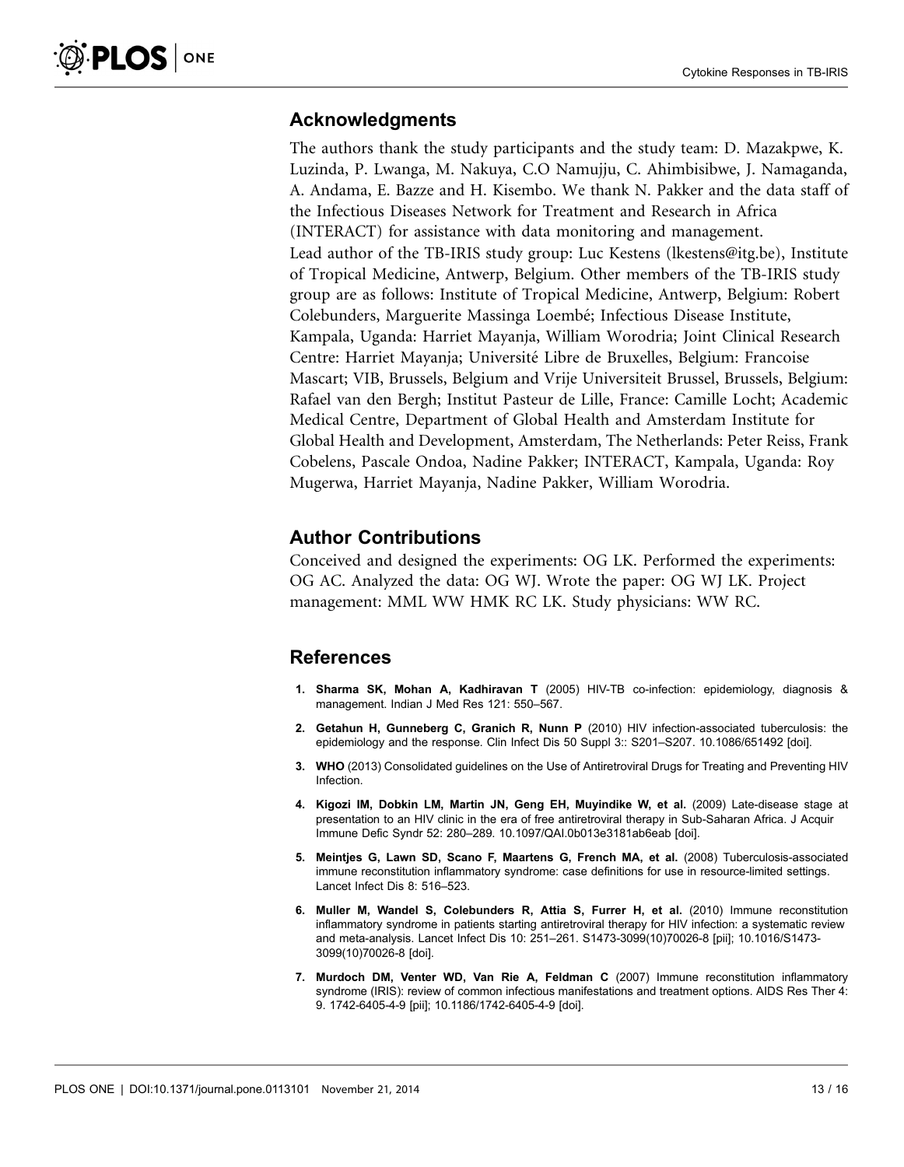# <span id="page-12-0"></span>Acknowledgments

The authors thank the study participants and the study team: D. Mazakpwe, K. Luzinda, P. Lwanga, M. Nakuya, C.O Namujju, C. Ahimbisibwe, J. Namaganda, A. Andama, E. Bazze and H. Kisembo. We thank N. Pakker and the data staff of the Infectious Diseases Network for Treatment and Research in Africa (INTERACT) for assistance with data monitoring and management. Lead author of the TB-IRIS study group: Luc Kestens (<lkestens@itg.be>), Institute of Tropical Medicine, Antwerp, Belgium. Other members of the TB-IRIS study group are as follows: Institute of Tropical Medicine, Antwerp, Belgium: Robert Colebunders, Marguerite Massinga Loembé; Infectious Disease Institute, Kampala, Uganda: Harriet Mayanja, William Worodria; Joint Clinical Research Centre: Harriet Mayanja; Universite´ Libre de Bruxelles, Belgium: Francoise Mascart; VIB, Brussels, Belgium and Vrije Universiteit Brussel, Brussels, Belgium: Rafael van den Bergh; Institut Pasteur de Lille, France: Camille Locht; Academic Medical Centre, Department of Global Health and Amsterdam Institute for Global Health and Development, Amsterdam, The Netherlands: Peter Reiss, Frank Cobelens, Pascale Ondoa, Nadine Pakker; INTERACT, Kampala, Uganda: Roy Mugerwa, Harriet Mayanja, Nadine Pakker, William Worodria.

# Author Contributions

Conceived and designed the experiments: OG LK. Performed the experiments: OG AC. Analyzed the data: OG WJ. Wrote the paper: OG WJ LK. Project management: MML WW HMK RC LK. Study physicians: WW RC.

# References

- 1. Sharma SK, Mohan A, Kadhiravan T (2005) HIV-TB co-infection: epidemiology, diagnosis & management. Indian J Med Res 121: 550–567.
- 2. Getahun H, Gunneberg C, Granich R, Nunn P (2010) HIV infection-associated tuberculosis: the epidemiology and the response. Clin Infect Dis 50 Suppl 3:: S201–S207. 10.1086/651492 [doi].
- 3. WHO (2013) Consolidated guidelines on the Use of Antiretroviral Drugs for Treating and Preventing HIV Infection.
- 4. Kigozi IM, Dobkin LM, Martin JN, Geng EH, Muyindike W, et al. (2009) Late-disease stage at presentation to an HIV clinic in the era of free antiretroviral therapy in Sub-Saharan Africa. J Acquir Immune Defic Syndr 52: 280–289. 10.1097/QAI.0b013e3181ab6eab [doi].
- 5. Meintjes G, Lawn SD, Scano F, Maartens G, French MA, et al. (2008) Tuberculosis-associated immune reconstitution inflammatory syndrome: case definitions for use in resource-limited settings. Lancet Infect Dis 8: 516–523.
- 6. Muller M, Wandel S, Colebunders R, Attia S, Furrer H, et al. (2010) Immune reconstitution inflammatory syndrome in patients starting antiretroviral therapy for HIV infection: a systematic review and meta-analysis. Lancet Infect Dis 10: 251–261. S1473-3099(10)70026-8 [pii]; 10.1016/S1473- 3099(10)70026-8 [doi].
- 7. Murdoch DM, Venter WD, Van Rie A, Feldman C (2007) Immune reconstitution inflammatory syndrome (IRIS): review of common infectious manifestations and treatment options. AIDS Res Ther 4: 9. 1742-6405-4-9 [pii]; 10.1186/1742-6405-4-9 [doi].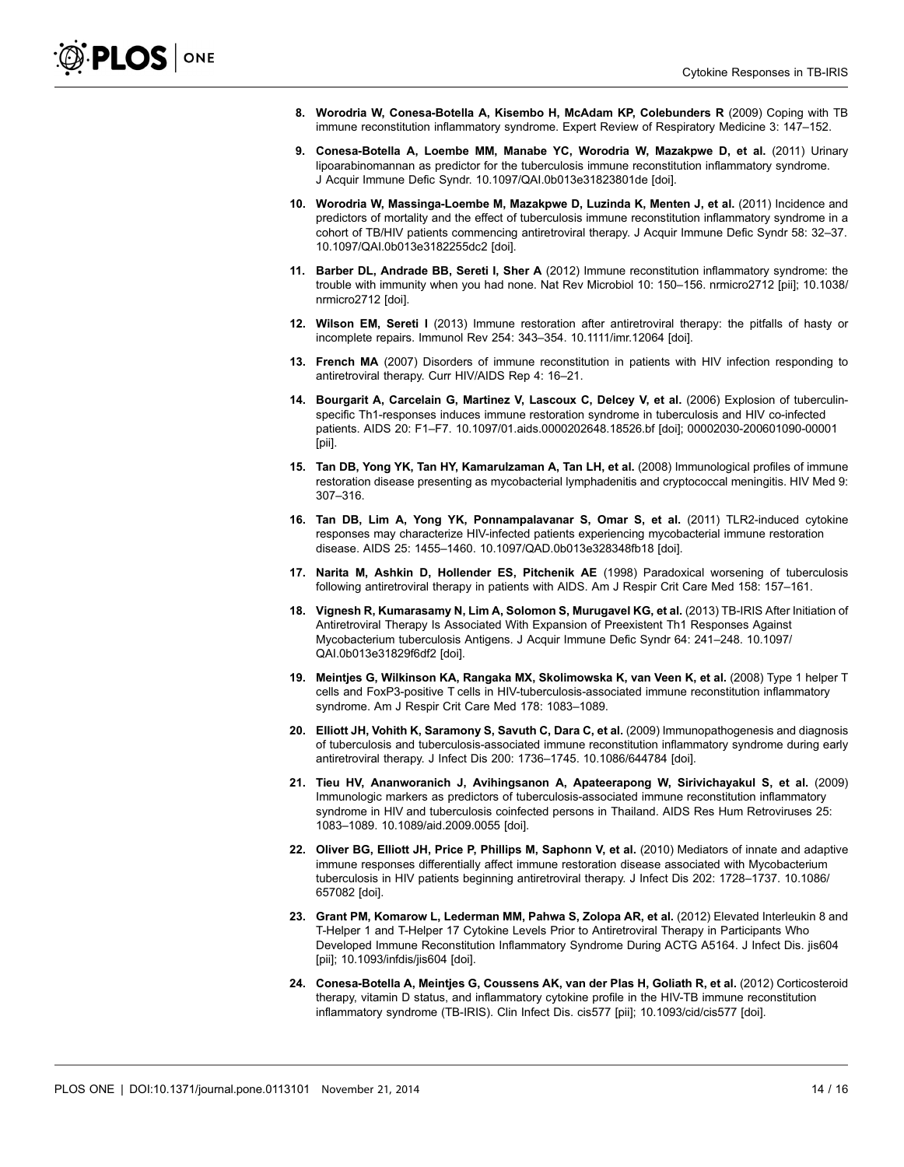- <span id="page-13-0"></span>8. Worodria W, Conesa-Botella A, Kisembo H, McAdam KP, Colebunders R (2009) Coping with TB immune reconstitution inflammatory syndrome. Expert Review of Respiratory Medicine 3: 147–152.
- 9. Conesa-Botella A, Loembe MM, Manabe YC, Worodria W, Mazakpwe D, et al. (2011) Urinary lipoarabinomannan as predictor for the tuberculosis immune reconstitution inflammatory syndrome. J Acquir Immune Defic Syndr. 10.1097/QAI.0b013e31823801de [doi].
- 10. Worodria W, Massinga-Loembe M, Mazakpwe D, Luzinda K, Menten J, et al. (2011) Incidence and predictors of mortality and the effect of tuberculosis immune reconstitution inflammatory syndrome in a cohort of TB/HIV patients commencing antiretroviral therapy. J Acquir Immune Defic Syndr 58: 32–37. 10.1097/QAI.0b013e3182255dc2 [doi].
- 11. Barber DL, Andrade BB, Sereti I, Sher A (2012) Immune reconstitution inflammatory syndrome: the trouble with immunity when you had none. Nat Rev Microbiol 10: 150–156. nrmicro2712 [pii]; 10.1038/ nrmicro2712 [doi].
- 12. Wilson EM, Sereti I (2013) Immune restoration after antiretroviral therapy: the pitfalls of hasty or incomplete repairs. Immunol Rev 254: 343–354. 10.1111/imr.12064 [doi].
- 13. French MA (2007) Disorders of immune reconstitution in patients with HIV infection responding to antiretroviral therapy. Curr HIV/AIDS Rep 4: 16–21.
- 14. Bourgarit A, Carcelain G, Martinez V, Lascoux C, Delcey V, et al. (2006) Explosion of tuberculinspecific Th1-responses induces immune restoration syndrome in tuberculosis and HIV co-infected patients. AIDS 20: F1–F7. 10.1097/01.aids.0000202648.18526.bf [doi]; 00002030-200601090-00001 [pii].
- 15. Tan DB, Yong YK, Tan HY, Kamarulzaman A, Tan LH, et al. (2008) Immunological profiles of immune restoration disease presenting as mycobacterial lymphadenitis and cryptococcal meningitis. HIV Med 9: 307–316.
- 16. Tan DB, Lim A, Yong YK, Ponnampalavanar S, Omar S, et al. (2011) TLR2-induced cytokine responses may characterize HIV-infected patients experiencing mycobacterial immune restoration disease. AIDS 25: 1455–1460. 10.1097/QAD.0b013e328348fb18 [doi].
- 17. Narita M, Ashkin D, Hollender ES, Pitchenik AE (1998) Paradoxical worsening of tuberculosis following antiretroviral therapy in patients with AIDS. Am J Respir Crit Care Med 158: 157–161.
- 18. Vignesh R, Kumarasamy N, Lim A, Solomon S, Murugavel KG, et al. (2013) TB-IRIS After Initiation of Antiretroviral Therapy Is Associated With Expansion of Preexistent Th1 Responses Against Mycobacterium tuberculosis Antigens. J Acquir Immune Defic Syndr 64: 241–248. 10.1097/ QAI.0b013e31829f6df2 [doi].
- 19. Meintjes G, Wilkinson KA, Rangaka MX, Skolimowska K, van Veen K, et al. (2008) Type 1 helper T cells and FoxP3-positive T cells in HIV-tuberculosis-associated immune reconstitution inflammatory syndrome. Am J Respir Crit Care Med 178: 1083–1089.
- 20. Elliott JH, Vohith K, Saramony S, Savuth C, Dara C, et al. (2009) Immunopathogenesis and diagnosis of tuberculosis and tuberculosis-associated immune reconstitution inflammatory syndrome during early antiretroviral therapy. J Infect Dis 200: 1736–1745. 10.1086/644784 [doi].
- 21. Tieu HV, Ananworanich J, Avihingsanon A, Apateerapong W, Sirivichayakul S, et al. (2009) Immunologic markers as predictors of tuberculosis-associated immune reconstitution inflammatory syndrome in HIV and tuberculosis coinfected persons in Thailand. AIDS Res Hum Retroviruses 25: 1083–1089. 10.1089/aid.2009.0055 [doi].
- 22. Oliver BG, Elliott JH, Price P, Phillips M, Saphonn V, et al. (2010) Mediators of innate and adaptive immune responses differentially affect immune restoration disease associated with Mycobacterium tuberculosis in HIV patients beginning antiretroviral therapy. J Infect Dis 202: 1728–1737. 10.1086/ 657082 [doi].
- 23. Grant PM, Komarow L, Lederman MM, Pahwa S, Zolopa AR, et al. (2012) Elevated Interleukin 8 and T-Helper 1 and T-Helper 17 Cytokine Levels Prior to Antiretroviral Therapy in Participants Who Developed Immune Reconstitution Inflammatory Syndrome During ACTG A5164. J Infect Dis. jis604 [pii]; 10.1093/infdis/jis604 [doi].
- 24. Conesa-Botella A, Meintjes G, Coussens AK, van der Plas H, Goliath R, et al. (2012) Corticosteroid therapy, vitamin D status, and inflammatory cytokine profile in the HIV-TB immune reconstitution inflammatory syndrome (TB-IRIS). Clin Infect Dis. cis577 [pii]; 10.1093/cid/cis577 [doi].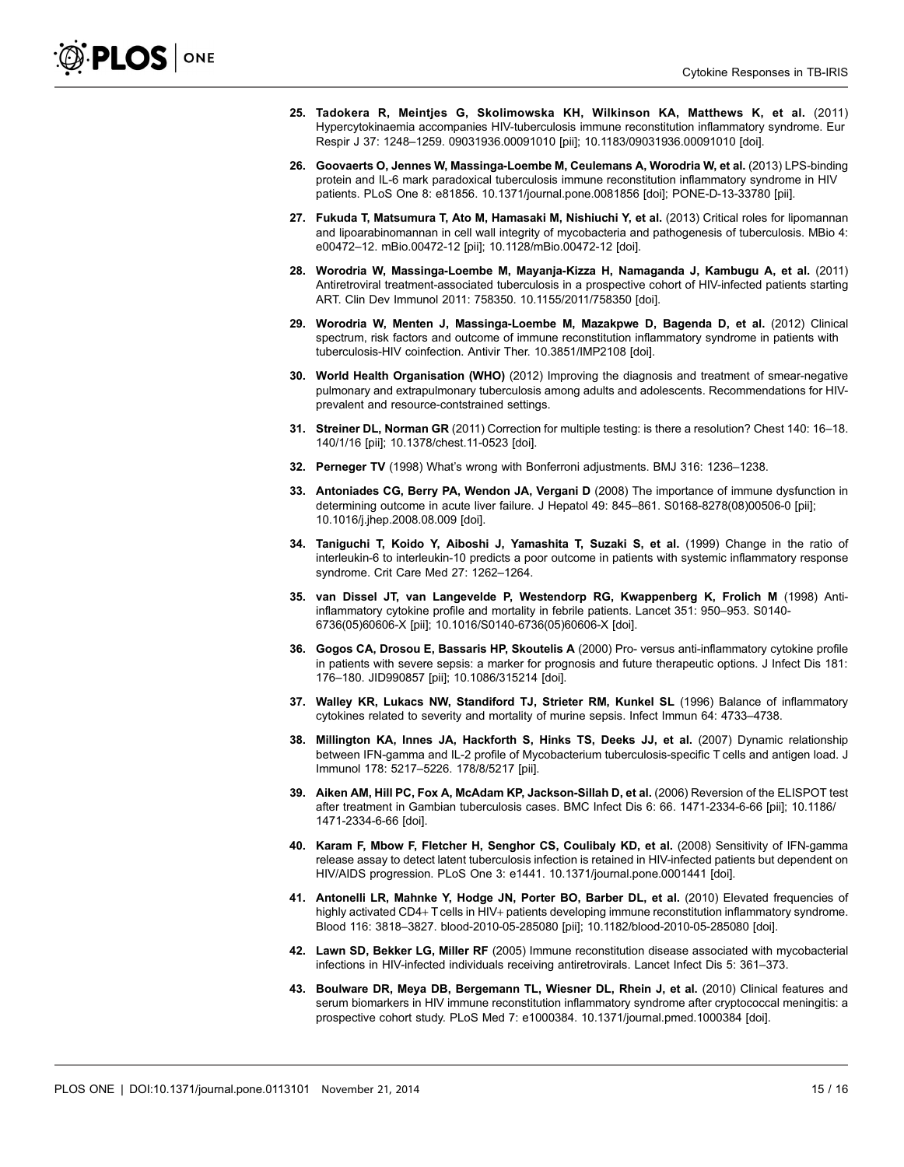- <span id="page-14-0"></span>25. Tadokera R, Meintjes G, Skolimowska KH, Wilkinson KA, Matthews K, et al. (2011) Hypercytokinaemia accompanies HIV-tuberculosis immune reconstitution inflammatory syndrome. Eur Respir J 37: 1248–1259. 09031936.00091010 [pii]; 10.1183/09031936.00091010 [doi].
- 26. Goovaerts O, Jennes W, Massinga-Loembe M, Ceulemans A, Worodria W, et al. (2013) LPS-binding protein and IL-6 mark paradoxical tuberculosis immune reconstitution inflammatory syndrome in HIV patients. PLoS One 8: e81856. 10.1371/journal.pone.0081856 [doi]; PONE-D-13-33780 [pii].
- 27. Fukuda T, Matsumura T, Ato M, Hamasaki M, Nishiuchi Y, et al. (2013) Critical roles for lipomannan and lipoarabinomannan in cell wall integrity of mycobacteria and pathogenesis of tuberculosis. MBio 4: e00472–12. mBio.00472-12 [pii]; 10.1128/mBio.00472-12 [doi].
- 28. Worodria W, Massinga-Loembe M, Mayanja-Kizza H, Namaganda J, Kambugu A, et al. (2011) Antiretroviral treatment-associated tuberculosis in a prospective cohort of HIV-infected patients starting ART. Clin Dev Immunol 2011: 758350. 10.1155/2011/758350 [doi].
- 29. Worodria W, Menten J, Massinga-Loembe M, Mazakpwe D, Bagenda D, et al. (2012) Clinical spectrum, risk factors and outcome of immune reconstitution inflammatory syndrome in patients with tuberculosis-HIV coinfection. Antivir Ther. 10.3851/IMP2108 [doi].
- 30. World Health Organisation (WHO) (2012) Improving the diagnosis and treatment of smear-negative pulmonary and extrapulmonary tuberculosis among adults and adolescents. Recommendations for HIVprevalent and resource-contstrained settings.
- 31. Streiner DL, Norman GR (2011) Correction for multiple testing: is there a resolution? Chest 140: 16–18. 140/1/16 [pii]; 10.1378/chest.11-0523 [doi].
- 32. Perneger TV (1998) What's wrong with Bonferroni adjustments. BMJ 316: 1236–1238.
- 33. Antoniades CG, Berry PA, Wendon JA, Vergani D (2008) The importance of immune dysfunction in determining outcome in acute liver failure. J Hepatol 49: 845–861. S0168-8278(08)00506-0 [pii]; 10.1016/j.jhep.2008.08.009 [doi].
- 34. Taniguchi T, Koido Y, Aiboshi J, Yamashita T, Suzaki S, et al. (1999) Change in the ratio of interleukin-6 to interleukin-10 predicts a poor outcome in patients with systemic inflammatory response syndrome. Crit Care Med 27: 1262–1264.
- 35. van Dissel JT, van Langevelde P, Westendorp RG, Kwappenberg K, Frolich M (1998) Antiinflammatory cytokine profile and mortality in febrile patients. Lancet 351: 950–953. S0140- 6736(05)60606-X [pii]; 10.1016/S0140-6736(05)60606-X [doi].
- 36. Gogos CA, Drosou E, Bassaris HP, Skoutelis A (2000) Pro- versus anti-inflammatory cytokine profile in patients with severe sepsis: a marker for prognosis and future therapeutic options. J Infect Dis 181: 176–180. JID990857 [pii]; 10.1086/315214 [doi].
- 37. Walley KR, Lukacs NW, Standiford TJ, Strieter RM, Kunkel SL (1996) Balance of inflammatory cytokines related to severity and mortality of murine sepsis. Infect Immun 64: 4733–4738.
- 38. Millington KA, Innes JA, Hackforth S, Hinks TS, Deeks JJ, et al. (2007) Dynamic relationship between IFN-gamma and IL-2 profile of Mycobacterium tuberculosis-specific T cells and antigen load. J Immunol 178: 5217–5226. 178/8/5217 [pii].
- 39. Aiken AM, Hill PC, Fox A, McAdam KP, Jackson-Sillah D, et al. (2006) Reversion of the ELISPOT test after treatment in Gambian tuberculosis cases. BMC Infect Dis 6: 66. 1471-2334-6-66 [pii]; 10.1186/ 1471-2334-6-66 [doi].
- 40. Karam F, Mbow F, Fletcher H, Senghor CS, Coulibaly KD, et al. (2008) Sensitivity of IFN-gamma release assay to detect latent tuberculosis infection is retained in HIV-infected patients but dependent on HIV/AIDS progression. PLoS One 3: e1441. 10.1371/journal.pone.0001441 [doi].
- 41. Antonelli LR, Mahnke Y, Hodge JN, Porter BO, Barber DL, et al. (2010) Elevated frequencies of highly activated CD4+ T cells in HIV+ patients developing immune reconstitution inflammatory syndrome. Blood 116: 3818–3827. blood-2010-05-285080 [pii]; 10.1182/blood-2010-05-285080 [doi].
- 42. Lawn SD, Bekker LG, Miller RF (2005) Immune reconstitution disease associated with mycobacterial infections in HIV-infected individuals receiving antiretrovirals. Lancet Infect Dis 5: 361–373.
- 43. Boulware DR, Meya DB, Bergemann TL, Wiesner DL, Rhein J, et al. (2010) Clinical features and serum biomarkers in HIV immune reconstitution inflammatory syndrome after cryptococcal meningitis: a prospective cohort study. PLoS Med 7: e1000384. 10.1371/journal.pmed.1000384 [doi].